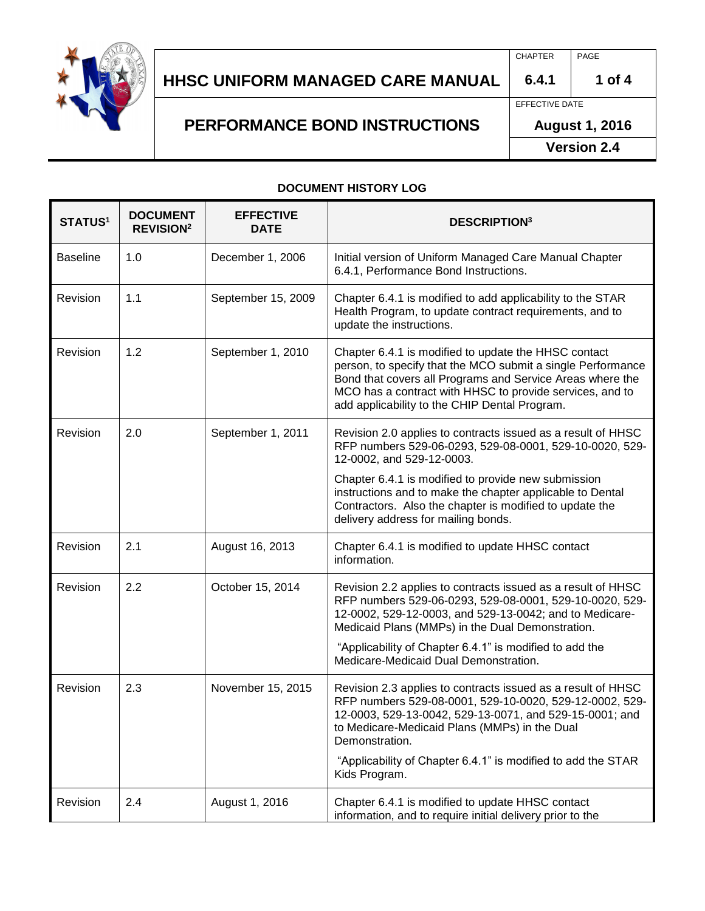

### **HHSC Uniform Managed Care MANUAL HHSC UNIFORM MANAGED CARE MANUAL 6.4.1 1 of 4**

**PERFORMANCE BOND INSTRUCTIONS**

CHAPTER PAGE

## EFFECTIVE DATE

**August 1, 2016**

**Version 2.4**

### **DOCUMENT HISTORY LOG**

| <b>STATUS1</b>  | <b>DOCUMENT</b><br><b>REVISION<sup>2</sup></b> | <b>EFFECTIVE</b><br><b>DATE</b> | <b>DESCRIPTION3</b>                                                                                                                                                                                                                                                                           |  |
|-----------------|------------------------------------------------|---------------------------------|-----------------------------------------------------------------------------------------------------------------------------------------------------------------------------------------------------------------------------------------------------------------------------------------------|--|
| <b>Baseline</b> | 1.0                                            | December 1, 2006                | Initial version of Uniform Managed Care Manual Chapter<br>6.4.1, Performance Bond Instructions.                                                                                                                                                                                               |  |
| Revision        | 1.1                                            | September 15, 2009              | Chapter 6.4.1 is modified to add applicability to the STAR<br>Health Program, to update contract requirements, and to<br>update the instructions.                                                                                                                                             |  |
| Revision        | 1.2                                            | September 1, 2010               | Chapter 6.4.1 is modified to update the HHSC contact<br>person, to specify that the MCO submit a single Performance<br>Bond that covers all Programs and Service Areas where the<br>MCO has a contract with HHSC to provide services, and to<br>add applicability to the CHIP Dental Program. |  |
| Revision        | 2.0                                            | September 1, 2011               | Revision 2.0 applies to contracts issued as a result of HHSC<br>RFP numbers 529-06-0293, 529-08-0001, 529-10-0020, 529-<br>12-0002, and 529-12-0003.                                                                                                                                          |  |
|                 |                                                |                                 | Chapter 6.4.1 is modified to provide new submission<br>instructions and to make the chapter applicable to Dental<br>Contractors. Also the chapter is modified to update the<br>delivery address for mailing bonds.                                                                            |  |
| Revision        | 2.1                                            | August 16, 2013                 | Chapter 6.4.1 is modified to update HHSC contact<br>information.                                                                                                                                                                                                                              |  |
| Revision        | 2.2                                            | October 15, 2014                | Revision 2.2 applies to contracts issued as a result of HHSC<br>RFP numbers 529-06-0293, 529-08-0001, 529-10-0020, 529-<br>12-0002, 529-12-0003, and 529-13-0042; and to Medicare-<br>Medicaid Plans (MMPs) in the Dual Demonstration.                                                        |  |
|                 |                                                |                                 | "Applicability of Chapter 6.4.1" is modified to add the<br>Medicare-Medicaid Dual Demonstration.                                                                                                                                                                                              |  |
| Revision        | 2.3                                            | November 15, 2015               | Revision 2.3 applies to contracts issued as a result of HHSC<br>RFP numbers 529-08-0001, 529-10-0020, 529-12-0002, 529-<br>12-0003, 529-13-0042, 529-13-0071, and 529-15-0001; and<br>to Medicare-Medicaid Plans (MMPs) in the Dual<br>Demonstration.                                         |  |
|                 |                                                |                                 | "Applicability of Chapter 6.4.1" is modified to add the STAR<br>Kids Program.                                                                                                                                                                                                                 |  |
| Revision        | 2.4                                            | August 1, 2016                  | Chapter 6.4.1 is modified to update HHSC contact<br>information, and to require initial delivery prior to the                                                                                                                                                                                 |  |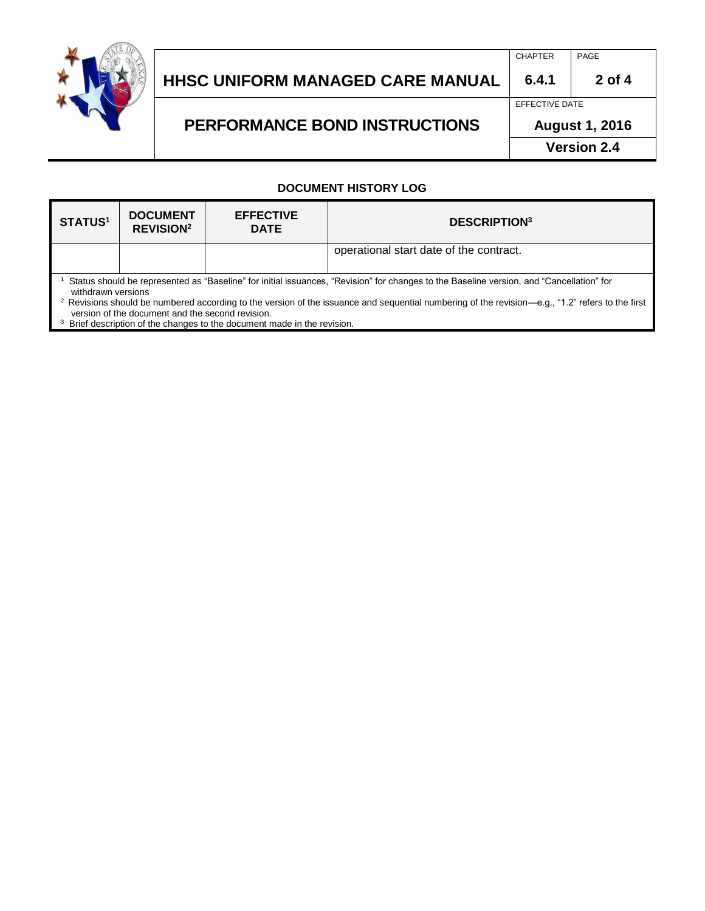

#### **HHSC Uniform Managed Care MANUAL HHSC UNIFORM MANAGED CARE MANUAL 6.4.1 2 of 4**

# **PERFORMANCE BOND INSTRUCTIONS**

EFFECTIVE DATE **August 1, 2016**

CHAPTER **PAGE** 

**Version 2.4**

### **DOCUMENT HISTORY LOG**

| STATUS <sup>1</sup>                                                                                                                                                                                                                                                                                                           | <b>DOCUMENT</b><br><b>REVISION<sup>2</sup></b> | <b>EFFECTIVE</b><br><b>DATE</b> | <b>DESCRIPTION3</b>                     |  |  |  |
|-------------------------------------------------------------------------------------------------------------------------------------------------------------------------------------------------------------------------------------------------------------------------------------------------------------------------------|------------------------------------------------|---------------------------------|-----------------------------------------|--|--|--|
|                                                                                                                                                                                                                                                                                                                               |                                                |                                 | operational start date of the contract. |  |  |  |
| Status should be represented as "Baseline" for initial issuances, "Revision" for changes to the Baseline version, and "Cancellation" for<br>withdrawn versions<br><sup>2</sup> Revisions should be numbered according to the version of the issuance and sequential numbering of the revision—e.g., "1.2" refers to the first |                                                |                                 |                                         |  |  |  |

version of the document and the second revision.<br><sup>3</sup> Brief description of the changes to the document made in the revision.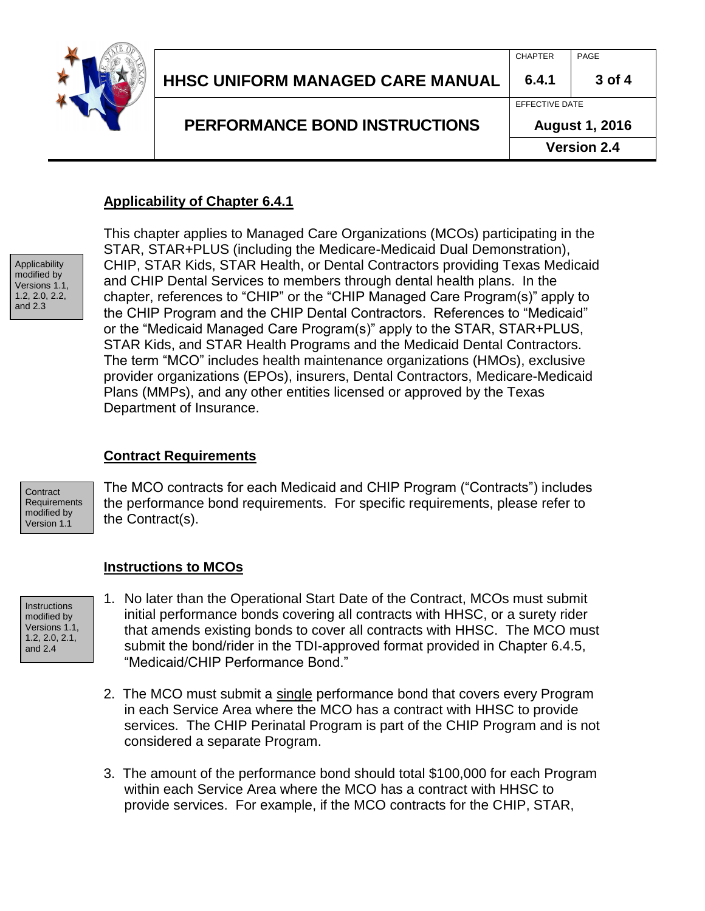

|                                  |                       | <b>Version 2.4</b> |
|----------------------------------|-----------------------|--------------------|
| PERFORMANCE BOND INSTRUCTIONS    | <b>August 1, 2016</b> |                    |
|                                  | EFFECTIVE DATE        |                    |
| HHSC UNIFORM MANAGED CARE MANUAL | 6.4.1                 | $3$ of 4           |
|                                  | <b>CHAPTER</b>        | PAGE               |

## **Applicability of Chapter 6.4.1**



This chapter applies to Managed Care Organizations (MCOs) participating in the STAR, STAR+PLUS (including the Medicare-Medicaid Dual Demonstration), CHIP, STAR Kids, STAR Health, or Dental Contractors providing Texas Medicaid and CHIP Dental Services to members through dental health plans. In the chapter, references to "CHIP" or the "CHIP Managed Care Program(s)" apply to the CHIP Program and the CHIP Dental Contractors. References to "Medicaid" or the "Medicaid Managed Care Program(s)" apply to the STAR, STAR+PLUS, STAR Kids, and STAR Health Programs and the Medicaid Dental Contractors. The term "MCO" includes health maintenance organizations (HMOs), exclusive provider organizations (EPOs), insurers, Dental Contractors, Medicare-Medicaid Plans (MMPs), and any other entities licensed or approved by the Texas Department of Insurance.

## **Contract Requirements**

**Contract Requirements** modified by Version 1.1

The MCO contracts for each Medicaid and CHIP Program ("Contracts") includes the performance bond requirements. For specific requirements, please refer to the Contract(s).

### **Instructions to MCOs**

- **Instructions** modified by Versions 1.1, 1.2, 2.0, 2.1, and 2.4
- 1. No later than the Operational Start Date of the Contract, MCOs must submit initial performance bonds covering all contracts with HHSC, or a surety rider that amends existing bonds to cover all contracts with HHSC. The MCO must submit the bond/rider in the TDI-approved format provided in Chapter 6.4.5, "Medicaid/CHIP Performance Bond."
- 2. The MCO must submit a single performance bond that covers every Program in each Service Area where the MCO has a contract with HHSC to provide services. The CHIP Perinatal Program is part of the CHIP Program and is not considered a separate Program.
- 3. The amount of the performance bond should total \$100,000 for each Program within each Service Area where the MCO has a contract with HHSC to provide services. For example, if the MCO contracts for the CHIP, STAR,